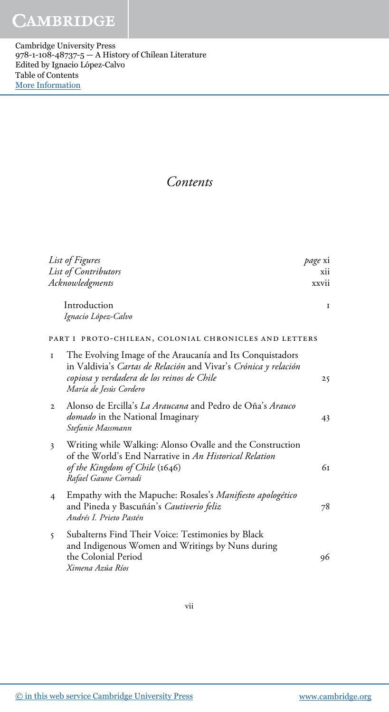Cambridge University Press 978-1-108-48737-5 — A History of Chilean Literature Edited by Ignacio López-Calvo Table of Contents [More Information](www.cambridge.org/9781108487375)

## Contents

| List of Figures                                                                                                                                                                                           | <i>page</i> xi |
|-----------------------------------------------------------------------------------------------------------------------------------------------------------------------------------------------------------|----------------|
| List of Contributors                                                                                                                                                                                      | xii            |
| Acknowledgments                                                                                                                                                                                           | xxvii          |
| Introduction<br>Ignacio López-Calvo                                                                                                                                                                       | I              |
| PART I PROTO-CHILEAN, COLONIAL CHRONICLES AND LETTERS                                                                                                                                                     |                |
| The Evolving Image of the Araucanía and Its Conquistadors<br>1<br>in Valdivia's Cartas de Relación and Vivar's Crónica y relación<br>copiosa y verdadera de los reinos de Chile<br>María de Jesús Cordero | 25             |
| Alonso de Ercilla's La Araucana and Pedro de Oña's Arauco<br>$\mathbf{2}$<br>domado in the National Imaginary<br>Stefanie Massmann                                                                        | 43             |
| Writing while Walking: Alonso Ovalle and the Construction<br>3<br>of the World's End Narrative in An Historical Relation<br>of the Kingdom of Chile (1646)<br>Rafael Gaune Corradi                        | 61             |
| Empathy with the Mapuche: Rosales's Manifiesto apologético<br>4<br>and Pineda y Bascuñán's Cautiverio feliz<br>Andrés I. Prieto Pastén                                                                    | 78             |
| Subalterns Find Their Voice: Testimonies by Black<br>$\mathsf{S}$<br>and Indigenous Women and Writings by Nuns during<br>the Colonial Period<br>Ximena Azúa Ríos                                          | 96             |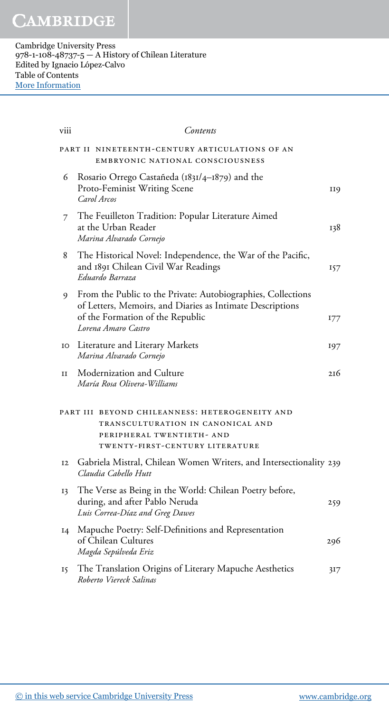| viii | Contents                                                                                                                                                                             |            |
|------|--------------------------------------------------------------------------------------------------------------------------------------------------------------------------------------|------------|
|      | PART II NINETEENTH-CENTURY ARTICULATIONS OF AN<br>EMBRYONIC NATIONAL CONSCIOUSNESS                                                                                                   |            |
| 6    | Rosario Orrego Castañeda (1831/4-1879) and the<br>Proto-Feminist Writing Scene<br>Carol Arcos                                                                                        | <b>II9</b> |
| 7    | The Feuilleton Tradition: Popular Literature Aimed<br>at the Urban Reader<br>Marina Alvarado Cornejo                                                                                 | 138        |
| 8    | The Historical Novel: Independence, the War of the Pacific,<br>and 1891 Chilean Civil War Readings<br>Eduardo Barraza                                                                | 157        |
| 9    | From the Public to the Private: Autobiographies, Collections<br>of Letters, Memoirs, and Diaries as Intimate Descriptions<br>of the Formation of the Republic<br>Lorena Amaro Castro | 177        |
| IO   | Literature and Literary Markets<br>Marina Alvarado Cornejo                                                                                                                           | 197        |
| II   | Modernization and Culture<br>María Rosa Olivera-Williams                                                                                                                             | 216        |
|      | PART III BEYOND CHILEANNESS: HETEROGENEITY AND<br>TRANSCULTURATION IN CANONICAL AND<br>PERIPHERAL TWENTIETH- AND<br>TWENTY-FIRST-CENTURY LITERATURE                                  |            |
| 12   | Gabriela Mistral, Chilean Women Writers, and Intersectionality 239<br>Claudia Cabello Hutt                                                                                           |            |
| 13   | The Verse as Being in the World: Chilean Poetry before,<br>during, and after Pablo Neruda<br>Luis Correa-Díaz and Greg Dawes                                                         | 259        |
| I4   | Mapuche Poetry: Self-Definitions and Representation<br>of Chilean Cultures<br>Magda Sepúlveda Eriz                                                                                   | 296        |
| 15   | The Translation Origins of Literary Mapuche Aesthetics<br>Roberto Viereck Salinas                                                                                                    | 317        |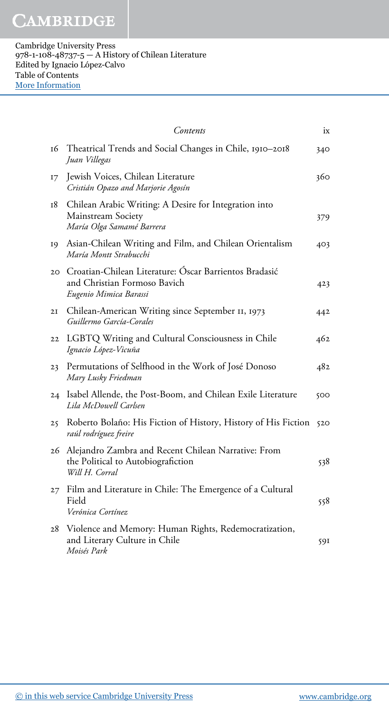|                 | Contents                                                                                                         | ix  |
|-----------------|------------------------------------------------------------------------------------------------------------------|-----|
| 16              | Theatrical Trends and Social Changes in Chile, 1910-2018<br>Juan Villegas                                        | 340 |
| 17              | Jewish Voices, Chilean Literature<br>Cristián Opazo and Marjorie Agosín                                          | 360 |
| 18              | Chilean Arabic Writing: A Desire for Integration into<br>Mainstream Society<br>María Olga Samamé Barrera         | 379 |
| 19              | Asian-Chilean Writing and Film, and Chilean Orientalism<br>María Montt Strabucchi                                | 403 |
| 20 <sub>1</sub> | Croatian-Chilean Literature: Óscar Barrientos Bradasić<br>and Christian Formoso Bavich<br>Eugenio Mimica Barassi | 423 |
| 2I              | Chilean-American Writing since September II, 1973<br>Guillermo García-Corales                                    | 442 |
| 22              | LGBTQ Writing and Cultural Consciousness in Chile<br>Ignacio López-Vicuña                                        | 462 |
| 23              | Permutations of Selfhood in the Work of José Donoso<br>Mary Lusky Friedman                                       | 482 |
| 24              | Isabel Allende, the Post-Boom, and Chilean Exile Literature<br>Lila McDowell Carlsen                             | 500 |
| 25              | Roberto Bolaño: His Fiction of History, History of His Fiction<br>raúl rodríguez freire                          | 520 |
|                 | 26 Alejandro Zambra and Recent Chilean Narrative: From<br>the Political to Autobiografiction<br>Will H. Corral   | 538 |
| $27^{2}$        | Film and Literature in Chile: The Emergence of a Cultural<br>Field<br>Verónica Cortínez                          | 558 |
| 28              | Violence and Memory: Human Rights, Redemocratization,<br>and Literary Culture in Chile<br>Moisés Park            | 591 |